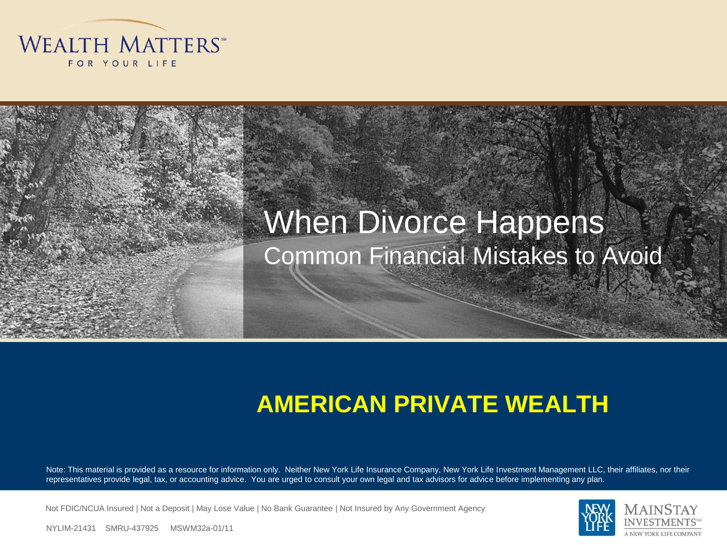

#### When Divorce Happens Common Financial Mistakes to Avoid

#### **AMERICAN PRIVATE WEALTH**

Note: This material is provided as a resource for information only. Neither New York Life Insurance Company, New York Life Investment Management LLC, their affiliates, nor their representatives provide legal, tax, or accounting advice. You are urged to consult your own legal and tax advisors for advice before implementing any plan.

Not FDIC/NCUA Insured | Not a Deposit | May Lose Value | No Bank Guarantee | Not Insured by Any Government Agency



NYLIM-21431 SMRU-437925 MSWM32a-01/11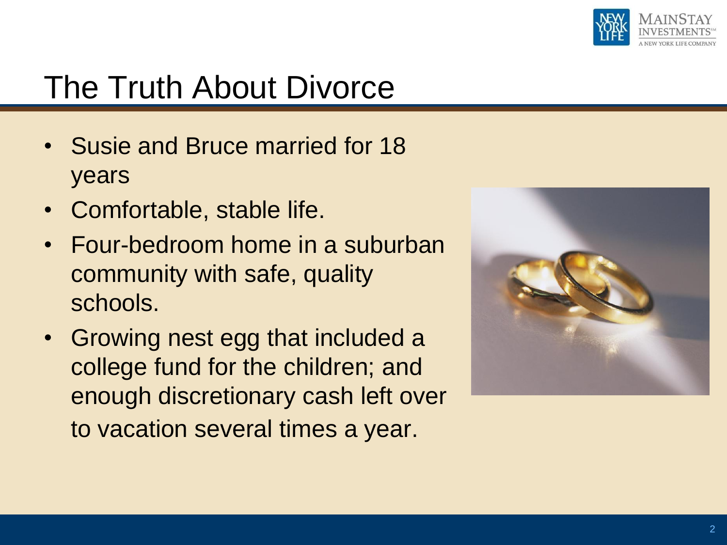

- Susie and Bruce married for 18 years
- Comfortable, stable life.
- Four-bedroom home in a suburban community with safe, quality schools.
- Growing nest egg that included a college fund for the children; and enough discretionary cash left over to vacation several times a year.

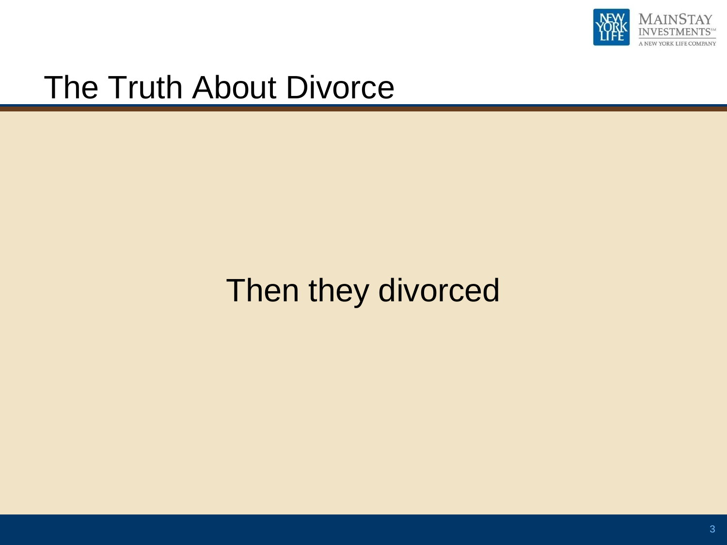

### Then they divorced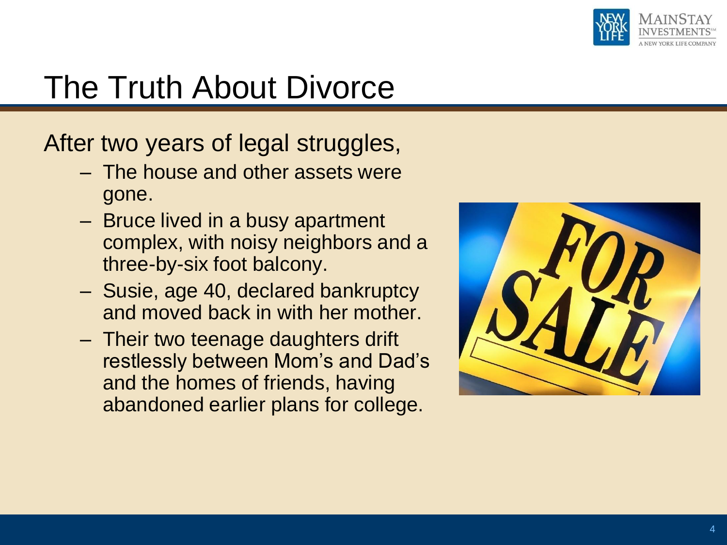

After two years of legal struggles,

- The house and other assets were gone.
- Bruce lived in a busy apartment complex, with noisy neighbors and a three-by-six foot balcony.
- Susie, age 40, declared bankruptcy and moved back in with her mother.
- Their two teenage daughters drift restlessly between Mom's and Dad's and the homes of friends, having abandoned earlier plans for college.

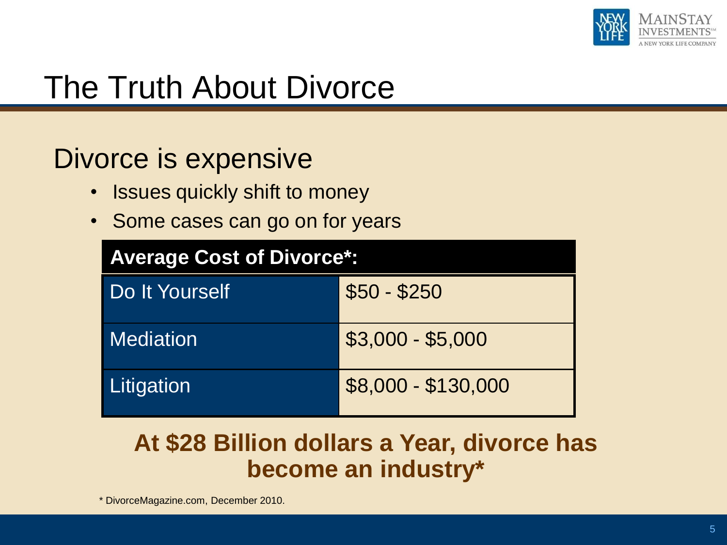

#### Divorce is expensive

- Issues quickly shift to money
- Some cases can go on for years

| <b>Average Cost of Divorce*:</b> |                     |
|----------------------------------|---------------------|
| Do It Yourself                   | $$50 - $250$        |
| <b>Mediation</b>                 | $$3,000 - $5,000$   |
| Litigation                       | \$8,000 - \$130,000 |

#### **At \$28 Billion dollars a Year, divorce has become an industry\***

\* DivorceMagazine.com, December 2010.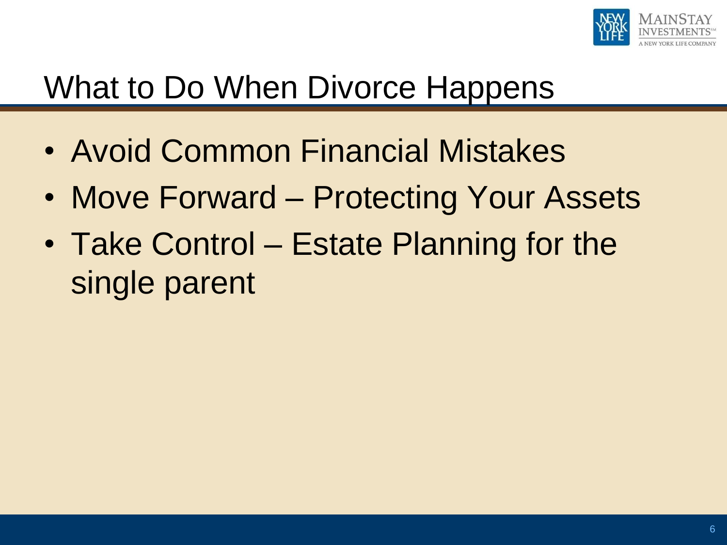

## What to Do When Divorce Happens

- Avoid Common Financial Mistakes
- Move Forward Protecting Your Assets
- Take Control Estate Planning for the single parent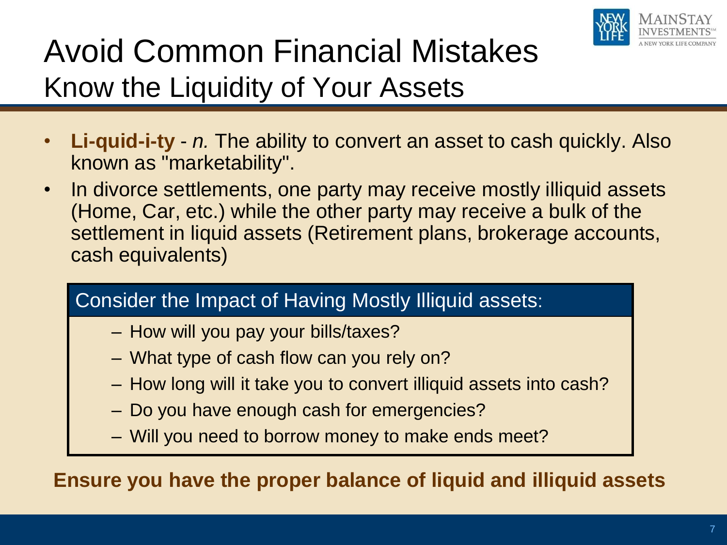

## Avoid Common Financial Mistakes Know the Liquidity of Your Assets

- **Li-quid-i-ty** *n.* The ability to convert an asset to cash quickly. Also known as "marketability".
- In divorce settlements, one party may receive mostly illiquid assets (Home, Car, etc.) while the other party may receive a bulk of the settlement in liquid assets (Retirement plans, brokerage accounts, cash equivalents)

#### Consider the Impact of Having Mostly Illiquid assets:

- How will you pay your bills/taxes?
- What type of cash flow can you rely on?
- How long will it take you to convert illiquid assets into cash?
- Do you have enough cash for emergencies?
- Will you need to borrow money to make ends meet?

**Ensure you have the proper balance of liquid and illiquid assets**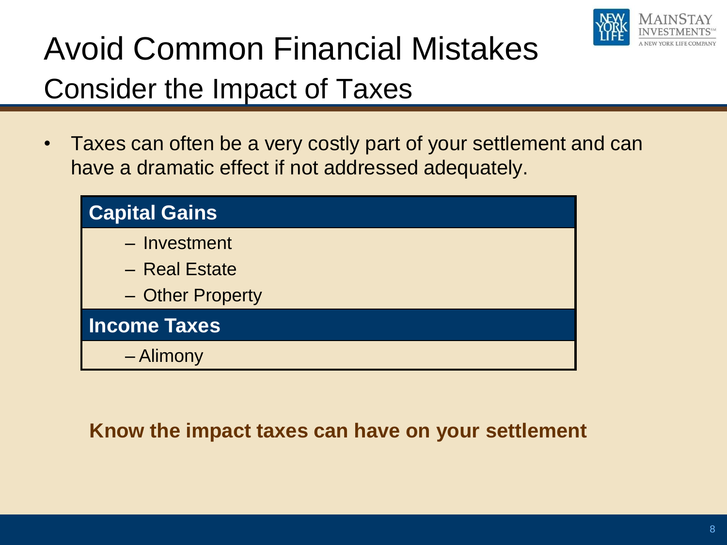

## Avoid Common Financial Mistakes Consider the Impact of Taxes

• Taxes can often be a very costly part of your settlement and can have a dramatic effect if not addressed adequately.



#### **Know the impact taxes can have on your settlement**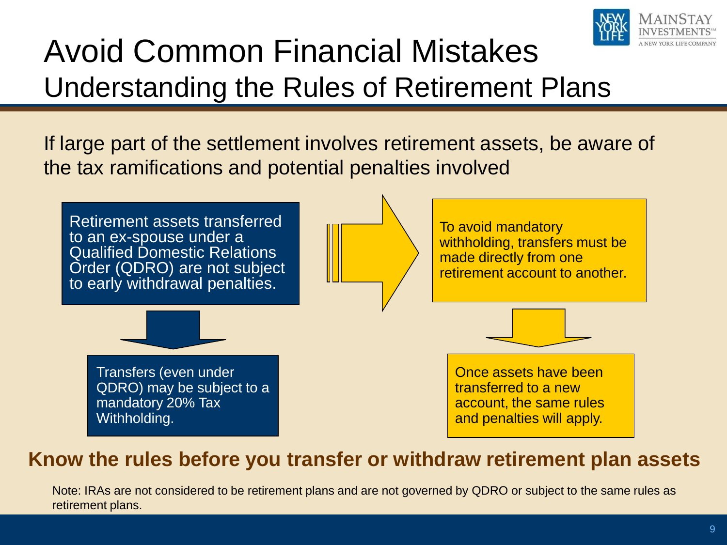

## Avoid Common Financial Mistakes Understanding the Rules of Retirement Plans

If large part of the settlement involves retirement assets, be aware of the tax ramifications and potential penalties involved



#### **Know the rules before you transfer or withdraw retirement plan assets**

Note: IRAs are not considered to be retirement plans and are not governed by QDRO or subject to the same rules as retirement plans.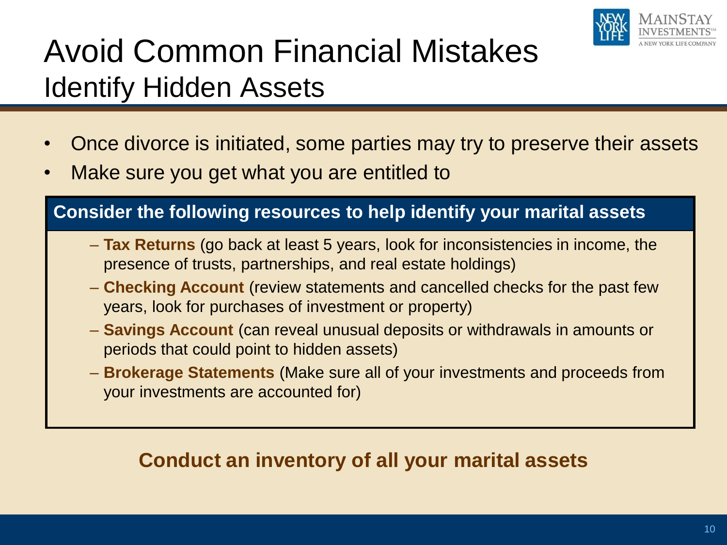

## Avoid Common Financial Mistakes Identify Hidden Assets

- Once divorce is initiated, some parties may try to preserve their assets
- Make sure you get what you are entitled to

#### **Consider the following resources to help identify your marital assets**

- **Tax Returns** (go back at least 5 years, look for inconsistencies in income, the presence of trusts, partnerships, and real estate holdings)
- **Checking Account** (review statements and cancelled checks for the past few years, look for purchases of investment or property)
- **Savings Account** (can reveal unusual deposits or withdrawals in amounts or periods that could point to hidden assets)
- **Brokerage Statements** (Make sure all of your investments and proceeds from your investments are accounted for)

#### **Conduct an inventory of all your marital assets**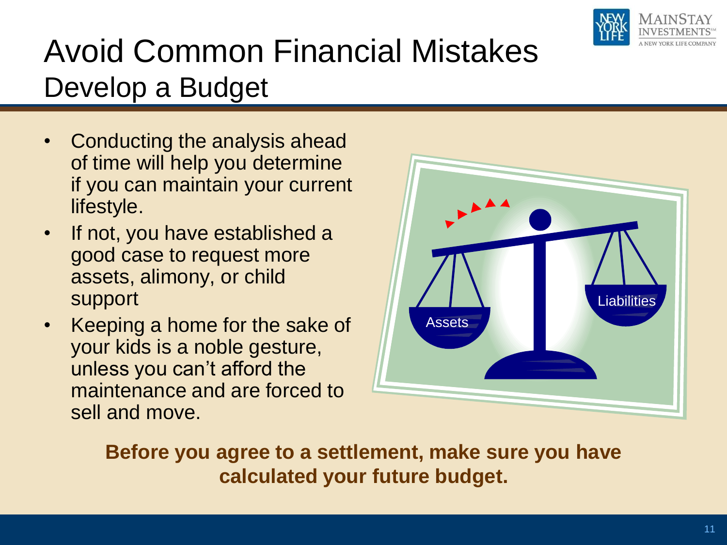

## Avoid Common Financial Mistakes Develop a Budget

- Conducting the analysis ahead of time will help you determine if you can maintain your current lifestyle.
- If not, you have established a good case to request more assets, alimony, or child support
- Keeping a home for the sake of your kids is a noble gesture, unless you can't afford the maintenance and are forced to sell and move.



**Before you agree to a settlement, make sure you have calculated your future budget.**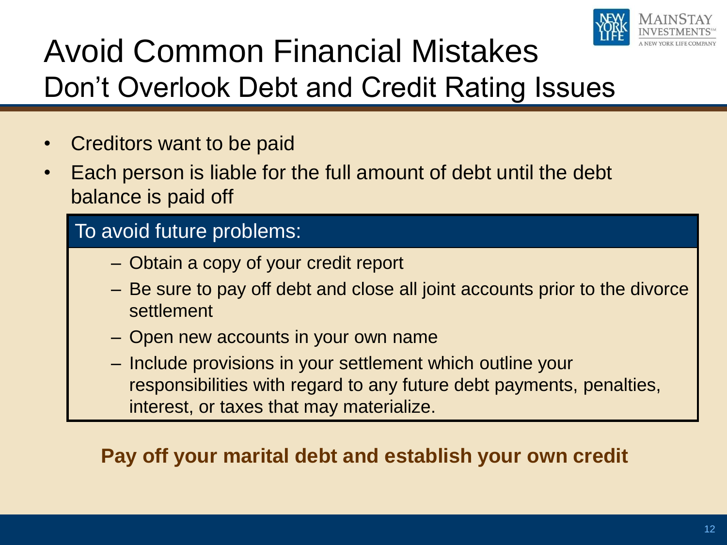

## Avoid Common Financial Mistakes Don't Overlook Debt and Credit Rating Issues

- Creditors want to be paid
- Each person is liable for the full amount of debt until the debt balance is paid off

#### To avoid future problems:

- Obtain a copy of your credit report
- Be sure to pay off debt and close all joint accounts prior to the divorce settlement
- Open new accounts in your own name
- Include provisions in your settlement which outline your responsibilities with regard to any future debt payments, penalties, interest, or taxes that may materialize.

#### **Pay off your marital debt and establish your own credit**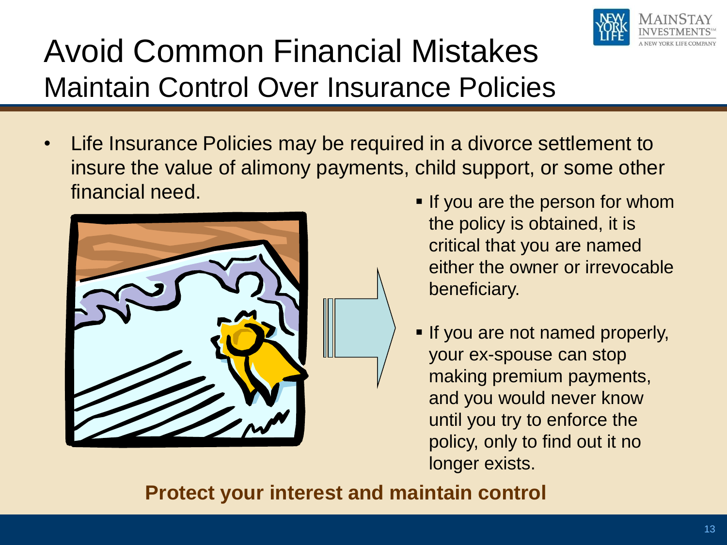

## Avoid Common Financial Mistakes Maintain Control Over Insurance Policies

• Life Insurance Policies may be required in a divorce settlement to insure the value of alimony payments, child support, or some other financial need. **If you are the person for whom** 



- the policy is obtained, it is critical that you are named either the owner or irrevocable beneficiary.
- **If you are not named properly,** your ex-spouse can stop making premium payments, and you would never know until you try to enforce the policy, only to find out it no longer exists.

#### **Protect your interest and maintain control**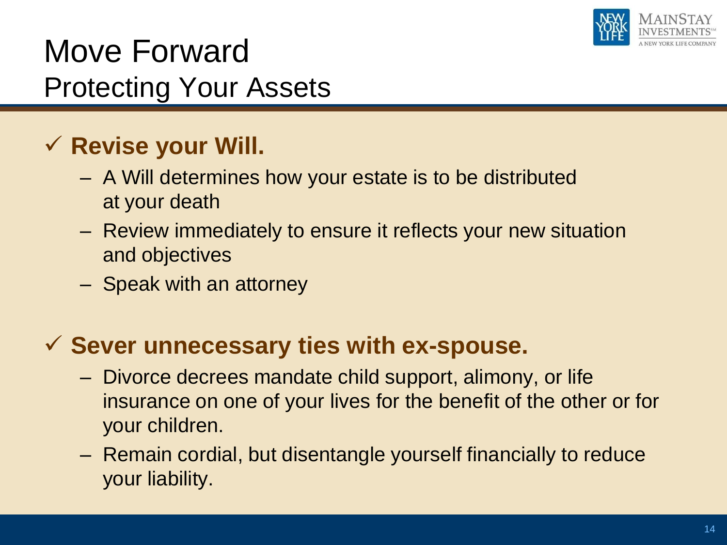

### Move Forward Protecting Your Assets

#### **Revise your Will.**

- A Will determines how your estate is to be distributed at your death
- Review immediately to ensure it reflects your new situation and objectives
- Speak with an attorney

#### **Sever unnecessary ties with ex-spouse.**

- Divorce decrees mandate child support, alimony, or life insurance on one of your lives for the benefit of the other or for your children.
- Remain cordial, but disentangle yourself financially to reduce your liability.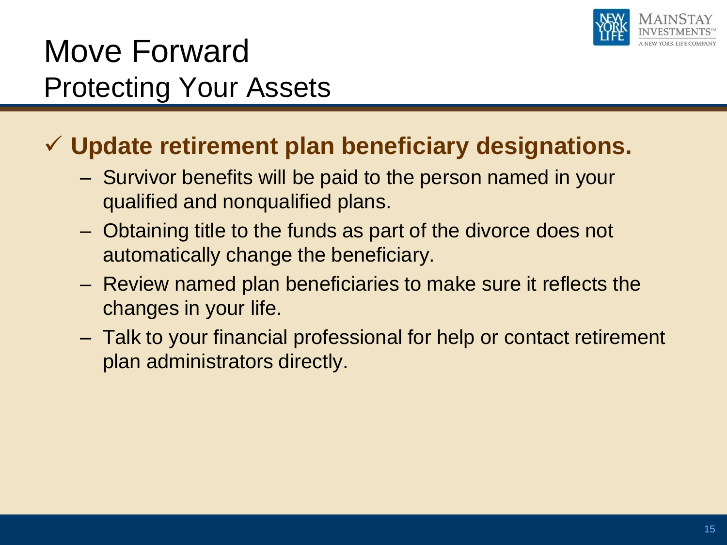

### Move Forward Protecting Your Assets

#### **Update retirement plan beneficiary designations.**

- Survivor benefits will be paid to the person named in your qualified and nonqualified plans.
- Obtaining title to the funds as part of the divorce does not automatically change the beneficiary.
- Review named plan beneficiaries to make sure it reflects the changes in your life.
- Talk to your financial professional for help or contact retirement plan administrators directly.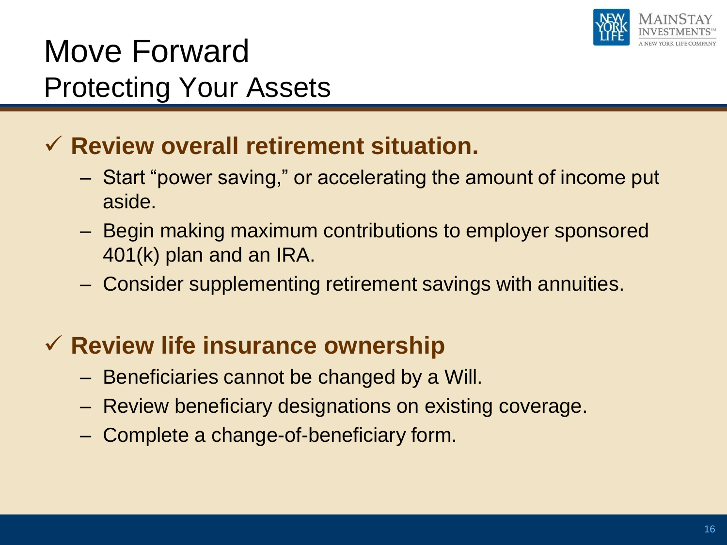

### Move Forward Protecting Your Assets

#### **Review overall retirement situation.**

- Start "power saving," or accelerating the amount of income put aside.
- Begin making maximum contributions to employer sponsored 401(k) plan and an IRA.
- Consider supplementing retirement savings with annuities.

#### **Review life insurance ownership**

- Beneficiaries cannot be changed by a Will.
- Review beneficiary designations on existing coverage.
- Complete a change-of-beneficiary form.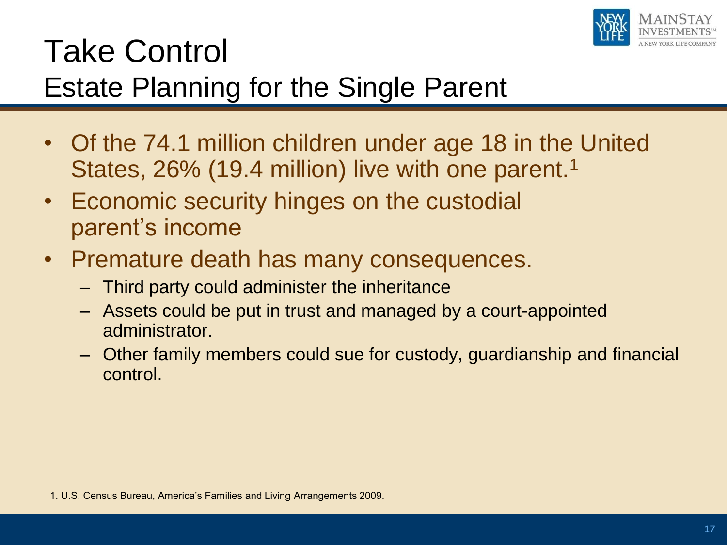

### Take Control Estate Planning for the Single Parent

- Of the 74.1 million children under age 18 in the United States, 26% (19.4 million) live with one parent.<sup>1</sup>
- Economic security hinges on the custodial parent's income
- Premature death has many consequences.
	- Third party could administer the inheritance
	- Assets could be put in trust and managed by a court-appointed administrator.
	- Other family members could sue for custody, guardianship and financial control.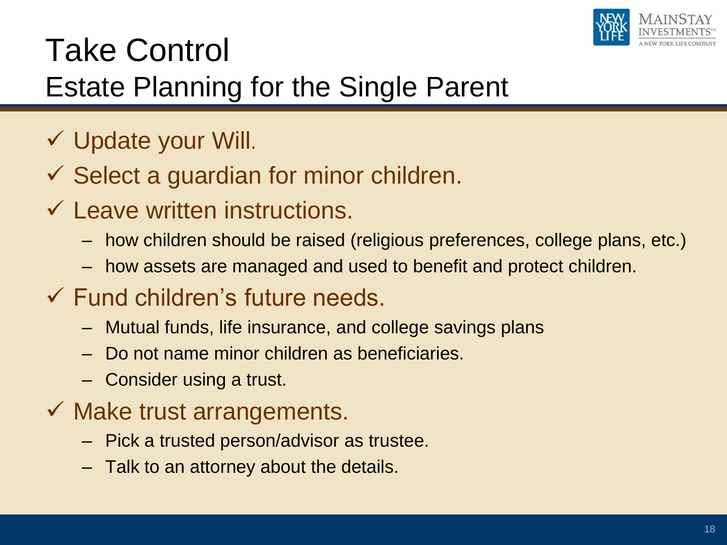

## Take Control Estate Planning for the Single Parent

- $\checkmark$  Update your Will.
- $\checkmark$  Select a guardian for minor children.
- $\checkmark$  Leave written instructions.
	- how children should be raised (religious preferences, college plans, etc.)
	- how assets are managed and used to benefit and protect children.
- $\checkmark$  Fund children's future needs.
	- Mutual funds, life insurance, and college savings plans
	- Do not name minor children as beneficiaries.
	- Consider using a trust.
- $\checkmark$  Make trust arrangements.
	- Pick a trusted person/advisor as trustee.
	- Talk to an attorney about the details.